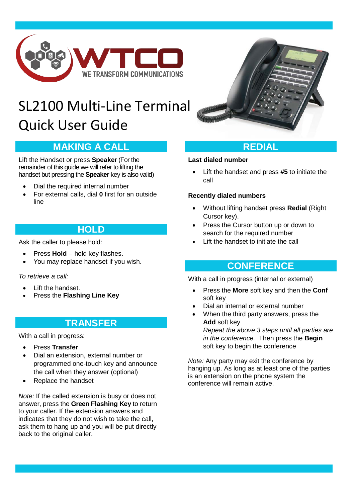

# SL2100 Multi-Line Terminal Quick User Guide

# **MAKING A CALL**

Lift the Handset or press **Speaker** (For the remainder of this guide we will refer to lifting the handset but pressing the **Speaker** key is also valid)

- Dial the required internal number
- For external calls, dial **0** first for an outside line

### **HOLD**

Ask the caller to please hold:

- Press **Hold** hold key flashes.
- You may replace handset if you wish.

*To retrieve a call:*

- Lift the handset.
- Press the **Flashing Line Key**

# **TRANSFER**

With a call in progress:

- Press **Transfer**
- Dial an extension, external number or programmed one-touch key and announce the call when they answer (optional)
- Replace the handset

*Note:* If the called extension is busy or does not answer, press the **Green Flashing Key** to return to your caller. If the extension answers and indicates that they do not wish to take the call, ask them to hang up and you will be put directly back to the original caller.



# **REDIAL**

#### **Last dialed number**

• Lift the handset and press **#5** to initiate the call

### **Recently dialed numbers**

- Without lifting handset press **Redial** (Right Cursor key).
- Press the Cursor button up or down to search for the required number
- Lift the handset to initiate the call

### **CONFERENCE**

With a call in progress (internal or external)

- Press the **More** soft key and then the **Conf** soft key
- Dial an internal or external number
- When the third party answers, press the **Add** soft key *Repeat the above 3 steps until all parties are in the conference.* Then press the **Begin** soft key to begin the conference

*Note:* Any party may exit the conference by hanging up. As long as at least one of the parties is an extension on the phone system the conference will remain active.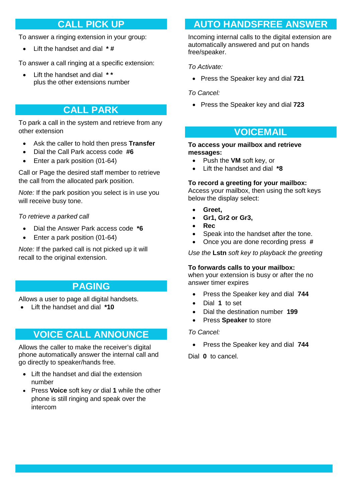# **CALL PICK UP**

To answer a ringing extension in your group:

• Lift the handset and dial **\* #**

To answer a call ringing at a specific extension:

• Lift the handset and dial **\* \*** plus the other extensions number

# **CALL PARK**

To park a call in the system and retrieve from any other extension

- Ask the caller to hold then press **Transfer**
- Dial the Call Park access code **#6**
- Enter a park position (01-64)

Call or Page the desired staff member to retrieve the call from the allocated park position.

*Note:* If the park position you select is in use you will receive busy tone.

*To retrieve a parked call*

- Dial the Answer Park access code **\*6**
- Enter a park position (01-64)

*Note:* If the parked call is not picked up it will recall to the original extension.

### **PAGING**

Allows a user to page all digital handsets.

• Lift the handset and dial **\*10**

### **VOICE CALL ANNOUNCE**

Allows the caller to make the receiver's digital phone automatically answer the internal call and go directly to speaker/hands free.

- Lift the handset and dial the extension number
- Press **Voice** soft key *or* dial **1** while the other phone is still ringing and speak over the intercom

# **AUTO HANDSFREE ANSWER**

Incoming internal calls to the digital extension are automatically answered and put on hands free/speaker.

*To Activate:*

- Press the Speaker key and dial **721**
- *To Cancel:*
	- Press the Speaker key and dial **723**

# **VOICEMAIL**

#### **To access your mailbox and retrieve messages:**

- Push the **VM** soft key, or
- Lift the handset and dial **\*8**

#### **To record a greeting for your mailbox:**

Access your mailbox, then using the soft keys below the display select:

- **Greet,**
- **Gr1, Gr2 or Gr3,**
- **Rec**
- Speak into the handset after the tone.
- Once you are done recording press **#**

*Use the* **Lstn** *soft key to playback the greeting*

#### **To forwards calls to your mailbox:**

when your extension is busy or after the no answer timer expires

- Press the Speaker key and dial **744**
- Dial **1** to set
- Dial the destination number **199**
- Press **Speaker** to store

#### *To Cancel:*

• Press the Speaker key and dial **744**

Dial **0** to cancel.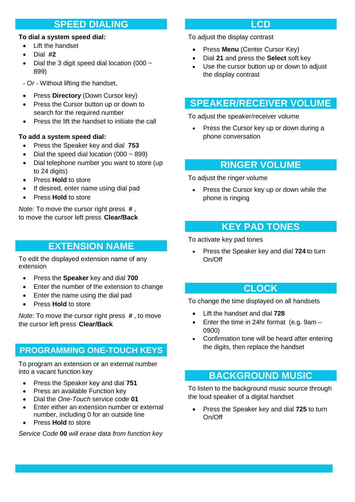### **SPEED DIALING**

#### **To dial a system speed dial:**

- Lift the handset
- Dial **#2**
- Dial the 3 digit speed dial location (000  $\sim$ 899)
- *- Or* Without lifting the handset,
- Press **Directory** (Down Cursor key)
- Press the Cursor button up or down to search for the required number
- Press the lift the handset to initiate the call

### **To add a system speed dial:**

- Press the Speaker key and dial **753**
- Dial the speed dial location  $(000 \sim 899)$
- Dial telephone number you want to store (up to 24 digits)
- Press **Hold** to store
- If desired, enter name using dial pad
- Press **Hold** to store

*Note:* To move the cursor right press **#** , to move the cursor left press **Clear/Back**

# **EXTENSION NAME**

To edit the displayed extension name of any extension

- Press the **Speaker** key and dial **700**
- Enter the number of the extension to change
- Enter the name using the dial pad
- Press **Hold** to store

*Note:* To move the cursor right press **#** , to move the cursor left press **Clear/Back**

### **PROGRAMMING ONE-TOUCH KEYS**

To program an extension or an external number into a vacant function key

- Press the Speaker key and dial **751**
- Press an available Function key
- Dial the *One-Touch* service code **01**
- Enter either an extension number or external number, including 0 for an outside line
- Press **Hold** to store

*Service Code* **00** *will erase data from function key*

### **LCD**

To adjust the display contrast

- Press **Menu** (Center Cursor Key)
- Dial **21** and press the **Select** soft key
- Use the cursor button up or down to adjust the display contrast

# **SPEAKER/RECEIVER VOLUME**

To adjust the speaker/receiver volume

• Press the Cursor key up or down during a phone conversation

### **RINGER VOLUME**

To adjust the ringer volume

Press the Cursor key up or down while the phone is ringing

# **KEY PAD TONES**

To activate key pad tones

• Press the Speaker key and dial **724** to turn On/Off

### **CLOCK**

To change the time displayed on all handsets

- Lift the handset and dial **728**
- Enter the time in 24hr format (e.g. 9am 0900)
- Confirmation tone will be heard after entering the digits, then replace the handset

### **BACKGROUND MUSIC**

To listen to the background music source through the loud speaker of a digital handset

• Press the Speaker key and dial **725** to turn On/Off